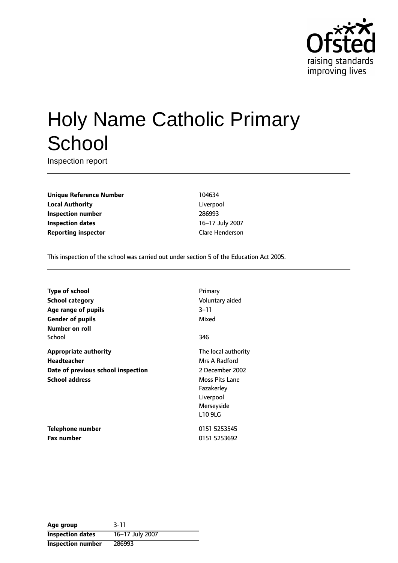

# Holy Name Catholic Primary **School**

Inspection report

**Unique Reference Number** 104634 **Local Authority** Liverpool **Inspection number** 286993 **Inspection dates** 16-17 July 2007 **Reporting inspector** Clare Henderson

This inspection of the school was carried out under section 5 of the Education Act 2005.

| <b>Type of school</b>              | Primary               |
|------------------------------------|-----------------------|
| <b>School category</b>             | Voluntary aided       |
| Age range of pupils                | $3 - 11$              |
| <b>Gender of pupils</b>            | Mixed                 |
| Number on roll                     |                       |
| School                             | 346                   |
| <b>Appropriate authority</b>       | The local authority   |
| <b>Headteacher</b>                 | Mrs A Radford         |
| Date of previous school inspection | 2 December 2002       |
| <b>School address</b>              | <b>Moss Pits Lane</b> |
|                                    | Fazakerley            |
|                                    | Liverpool             |
|                                    | Merseyside            |
|                                    | L10 9LG               |
| Telephone number                   | 0151 5253545          |
| <b>Fax number</b>                  | 0151 5253692          |

| Age group                | $3 - 11$        |
|--------------------------|-----------------|
| <b>Inspection dates</b>  | 16-17 July 2007 |
| <b>Inspection number</b> | 286993          |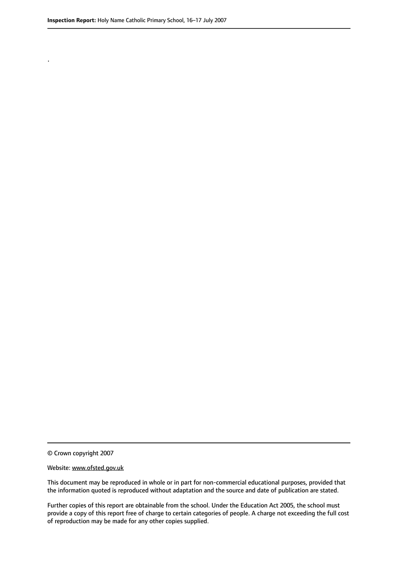.

© Crown copyright 2007

#### Website: www.ofsted.gov.uk

This document may be reproduced in whole or in part for non-commercial educational purposes, provided that the information quoted is reproduced without adaptation and the source and date of publication are stated.

Further copies of this report are obtainable from the school. Under the Education Act 2005, the school must provide a copy of this report free of charge to certain categories of people. A charge not exceeding the full cost of reproduction may be made for any other copies supplied.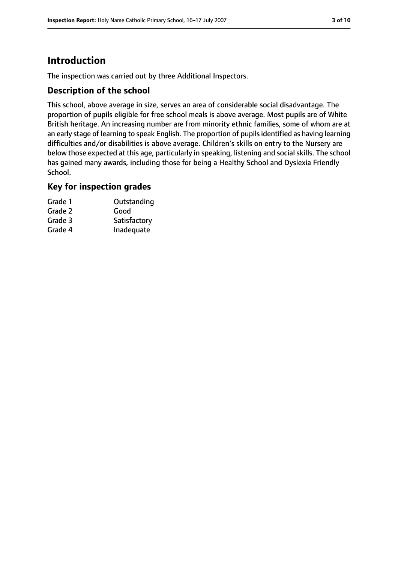# **Introduction**

The inspection was carried out by three Additional Inspectors.

#### **Description of the school**

This school, above average in size, serves an area of considerable social disadvantage. The proportion of pupils eligible for free school meals is above average. Most pupils are of White British heritage. An increasing number are from minority ethnic families, some of whom are at an early stage of learning to speak English. The proportion of pupils identified as having learning difficulties and/or disabilities is above average. Children's skills on entry to the Nursery are below those expected at this age, particularly in speaking, listening and social skills. The school has gained many awards, including those for being a Healthy School and Dyslexia Friendly School.

#### **Key for inspection grades**

| Grade 1 | Outstanding  |
|---------|--------------|
| Grade 2 | Good         |
| Grade 3 | Satisfactory |
| Grade 4 | Inadequate   |
|         |              |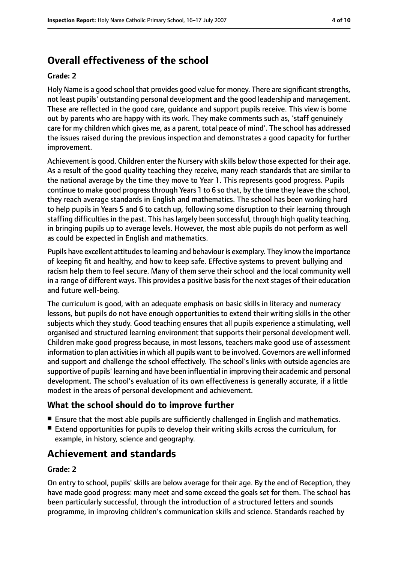# **Overall effectiveness of the school**

#### **Grade: 2**

Holy Name is a good school that provides good value for money. There are significant strengths, not least pupils' outstanding personal development and the good leadership and management. These are reflected in the good care, guidance and support pupils receive. This view is borne out by parents who are happy with its work. They make comments such as, 'staff genuinely care for my children which gives me, as a parent, total peace of mind'. The school has addressed the issues raised during the previous inspection and demonstrates a good capacity for further improvement.

Achievement is good. Children enter the Nursery with skills below those expected for their age. As a result of the good quality teaching they receive, many reach standards that are similar to the national average by the time they move to Year 1. This represents good progress. Pupils continue to make good progress through Years 1 to 6 so that, by the time they leave the school, they reach average standards in English and mathematics. The school has been working hard to help pupils in Years 5 and 6 to catch up, following some disruption to their learning through staffing difficulties in the past. This has largely been successful, through high quality teaching, in bringing pupils up to average levels. However, the most able pupils do not perform as well as could be expected in English and mathematics.

Pupils have excellent attitudes to learning and behaviour is exemplary. They know the importance of keeping fit and healthy, and how to keep safe. Effective systems to prevent bullying and racism help them to feel secure. Many of them serve their school and the local community well in a range of different ways. This provides a positive basis for the next stages of their education and future well-being.

The curriculum is good, with an adequate emphasis on basic skills in literacy and numeracy lessons, but pupils do not have enough opportunities to extend their writing skills in the other subjects which they study. Good teaching ensures that all pupils experience a stimulating, well organised and structured learning environment that supports their personal development well. Children make good progress because, in most lessons, teachers make good use of assessment information to plan activities in which all pupils want to be involved. Governors are well informed and support and challenge the school effectively. The school's links with outside agencies are supportive of pupils' learning and have been influential in improving their academic and personal development. The school's evaluation of its own effectiveness is generally accurate, if a little modest in the areas of personal development and achievement.

#### **What the school should do to improve further**

- Ensure that the most able pupils are sufficiently challenged in English and mathematics.
- Extend opportunities for pupils to develop their writing skills across the curriculum, for example, in history, science and geography.

# **Achievement and standards**

#### **Grade: 2**

On entry to school, pupils' skills are below average for their age. By the end of Reception, they have made good progress: many meet and some exceed the goals set for them. The school has been particularly successful, through the introduction of a structured letters and sounds programme, in improving children's communication skills and science. Standards reached by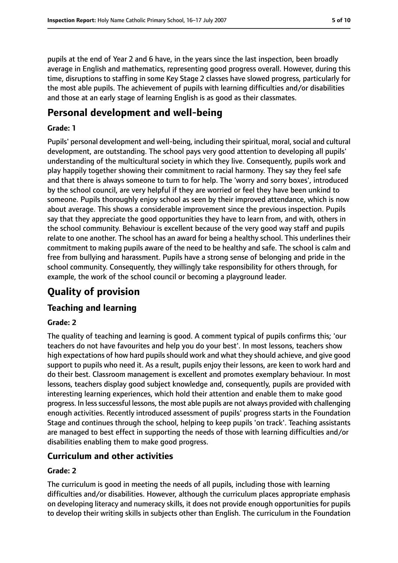pupils at the end of Year 2 and 6 have, in the years since the last inspection, been broadly average in English and mathematics, representing good progress overall. However, during this time, disruptions to staffing in some Key Stage 2 classes have slowed progress, particularly for the most able pupils. The achievement of pupils with learning difficulties and/or disabilities and those at an early stage of learning English is as good as their classmates.

# **Personal development and well-being**

#### **Grade: 1**

Pupils' personal development and well-being, including their spiritual, moral, social and cultural development, are outstanding. The school pays very good attention to developing all pupils' understanding of the multicultural society in which they live. Consequently, pupils work and play happily together showing their commitment to racial harmony. They say they feel safe and that there is always someone to turn to for help. The 'worry and sorry boxes', introduced by the school council, are very helpful if they are worried or feel they have been unkind to someone. Pupils thoroughly enjoy school as seen by their improved attendance, which is now about average. This shows a considerable improvement since the previous inspection. Pupils say that they appreciate the good opportunities they have to learn from, and with, others in the school community. Behaviour is excellent because of the very good way staff and pupils relate to one another. The school has an award for being a healthy school. This underlines their commitment to making pupils aware of the need to be healthy and safe. The school is calm and free from bullying and harassment. Pupils have a strong sense of belonging and pride in the school community. Consequently, they willingly take responsibility for others through, for example, the work of the school council or becoming a playground leader.

# **Quality of provision**

## **Teaching and learning**

#### **Grade: 2**

The quality of teaching and learning is good. A comment typical of pupils confirms this; 'our teachers do not have favourites and help you do your best'. In most lessons, teachers show high expectations of how hard pupils should work and what they should achieve, and give good support to pupils who need it. As a result, pupils enjoy their lessons, are keen to work hard and do their best. Classroom management is excellent and promotes exemplary behaviour. In most lessons, teachers display good subject knowledge and, consequently, pupils are provided with interesting learning experiences, which hold their attention and enable them to make good progress. In less successful lessons, the most able pupils are not always provided with challenging enough activities. Recently introduced assessment of pupils' progress starts in the Foundation Stage and continues through the school, helping to keep pupils 'on track'. Teaching assistants are managed to best effect in supporting the needs of those with learning difficulties and/or disabilities enabling them to make good progress.

## **Curriculum and other activities**

#### **Grade: 2**

The curriculum is good in meeting the needs of all pupils, including those with learning difficulties and/or disabilities. However, although the curriculum places appropriate emphasis on developing literacy and numeracy skills, it does not provide enough opportunities for pupils to develop their writing skills in subjects other than English. The curriculum in the Foundation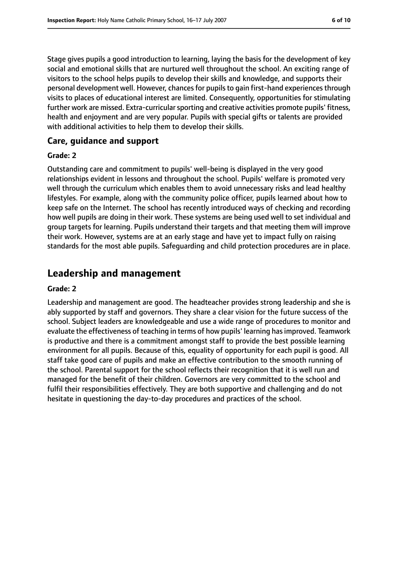Stage gives pupils a good introduction to learning, laying the basis for the development of key social and emotional skills that are nurtured well throughout the school. An exciting range of visitors to the school helps pupils to develop their skills and knowledge, and supports their personal development well. However, chances for pupils to gain first-hand experiences through visits to places of educational interest are limited. Consequently, opportunities for stimulating further work are missed. Extra-curricular sporting and creative activities promote pupils' fitness, health and enjoyment and are very popular. Pupils with special gifts or talents are provided with additional activities to help them to develop their skills.

#### **Care, guidance and support**

#### **Grade: 2**

Outstanding care and commitment to pupils' well-being is displayed in the very good relationships evident in lessons and throughout the school. Pupils' welfare is promoted very well through the curriculum which enables them to avoid unnecessary risks and lead healthy lifestyles. For example, along with the community police officer, pupils learned about how to keep safe on the Internet. The school has recently introduced ways of checking and recording how well pupils are doing in their work. These systems are being used well to set individual and group targets for learning. Pupils understand their targets and that meeting them will improve their work. However, systems are at an early stage and have yet to impact fully on raising standards for the most able pupils. Safeguarding and child protection procedures are in place.

# **Leadership and management**

#### **Grade: 2**

Leadership and management are good. The headteacher provides strong leadership and she is ably supported by staff and governors. They share a clear vision for the future success of the school. Subject leaders are knowledgeable and use a wide range of procedures to monitor and evaluate the effectiveness of teaching in terms of how pupils' learning has improved. Teamwork is productive and there is a commitment amongst staff to provide the best possible learning environment for all pupils. Because of this, equality of opportunity for each pupil is good. All staff take good care of pupils and make an effective contribution to the smooth running of the school. Parental support for the school reflects their recognition that it is well run and managed for the benefit of their children. Governors are very committed to the school and fulfil their responsibilities effectively. They are both supportive and challenging and do not hesitate in questioning the day-to-day procedures and practices of the school.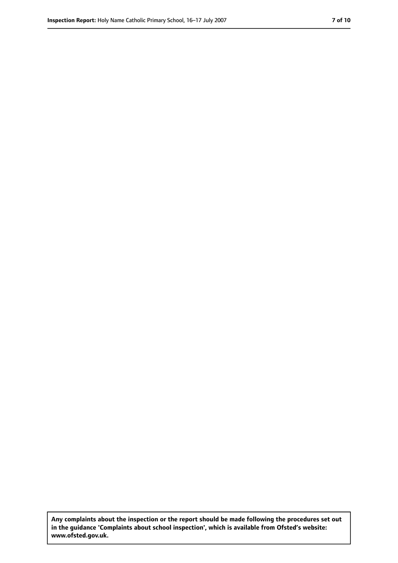**Any complaints about the inspection or the report should be made following the procedures set out in the guidance 'Complaints about school inspection', which is available from Ofsted's website: www.ofsted.gov.uk.**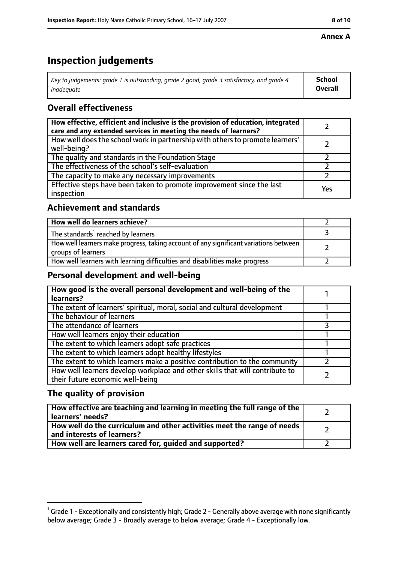#### **Annex A**

# **Inspection judgements**

| Key to judgements: grade 1 is outstanding, grade 2 good, grade 3 satisfactory, and grade 4 $\,$ | <b>School</b>  |
|-------------------------------------------------------------------------------------------------|----------------|
| inadequate                                                                                      | <b>Overall</b> |

## **Overall effectiveness**

| How effective, efficient and inclusive is the provision of education, integrated<br>care and any extended services in meeting the needs of learners? |     |
|------------------------------------------------------------------------------------------------------------------------------------------------------|-----|
| How well does the school work in partnership with others to promote learners'<br>well-being?                                                         |     |
| The quality and standards in the Foundation Stage                                                                                                    |     |
| The effectiveness of the school's self-evaluation                                                                                                    |     |
| The capacity to make any necessary improvements                                                                                                      |     |
| Effective steps have been taken to promote improvement since the last<br>inspection                                                                  | Yes |

## **Achievement and standards**

| How well do learners achieve?                                                                               |  |
|-------------------------------------------------------------------------------------------------------------|--|
| The standards <sup>1</sup> reached by learners                                                              |  |
| How well learners make progress, taking account of any significant variations between<br>groups of learners |  |
| How well learners with learning difficulties and disabilities make progress                                 |  |

#### **Personal development and well-being**

| How good is the overall personal development and well-being of the<br>learners?                                  |  |
|------------------------------------------------------------------------------------------------------------------|--|
| The extent of learners' spiritual, moral, social and cultural development                                        |  |
| The behaviour of learners                                                                                        |  |
| The attendance of learners                                                                                       |  |
| How well learners enjoy their education                                                                          |  |
| The extent to which learners adopt safe practices                                                                |  |
| The extent to which learners adopt healthy lifestyles                                                            |  |
| The extent to which learners make a positive contribution to the community                                       |  |
| How well learners develop workplace and other skills that will contribute to<br>their future economic well-being |  |

## **The quality of provision**

| How effective are teaching and learning in meeting the full range of the<br>learners' needs?          |  |
|-------------------------------------------------------------------------------------------------------|--|
| How well do the curriculum and other activities meet the range of needs<br>and interests of learners? |  |
| How well are learners cared for, quided and supported?                                                |  |

 $^1$  Grade 1 - Exceptionally and consistently high; Grade 2 - Generally above average with none significantly below average; Grade 3 - Broadly average to below average; Grade 4 - Exceptionally low.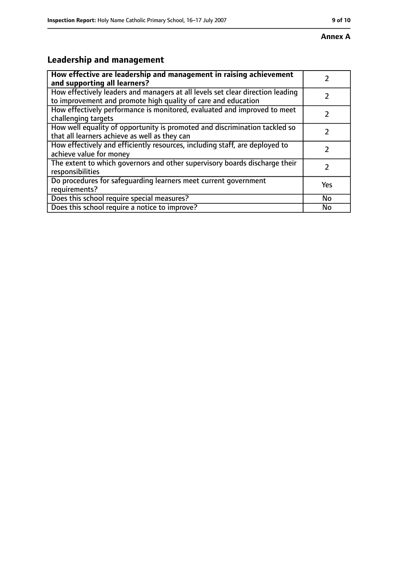# **Leadership and management**

| How effective are leadership and management in raising achievement                                                                              |     |
|-------------------------------------------------------------------------------------------------------------------------------------------------|-----|
| and supporting all learners?                                                                                                                    |     |
| How effectively leaders and managers at all levels set clear direction leading<br>to improvement and promote high quality of care and education |     |
| How effectively performance is monitored, evaluated and improved to meet<br>challenging targets                                                 |     |
| How well equality of opportunity is promoted and discrimination tackled so<br>that all learners achieve as well as they can                     |     |
| How effectively and efficiently resources, including staff, are deployed to<br>achieve value for money                                          | 7   |
| The extent to which governors and other supervisory boards discharge their<br>responsibilities                                                  | 7   |
| Do procedures for safequarding learners meet current government<br>requirements?                                                                | Yes |
| Does this school require special measures?                                                                                                      | No  |
| Does this school require a notice to improve?                                                                                                   | No  |